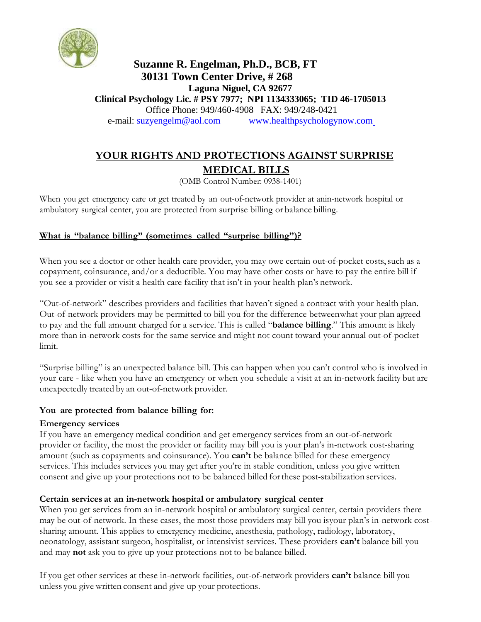

## **Suzanne R. Engelman, Ph.D., BCB, FT 30131 Town Center Drive, # 268 Laguna Niguel, CA 92677 Clinical Psychology Lic. # PSY 7977; NPI 1134333065; TID 46-1705013** Office Phone: 949/460-4908 FAX: 949/248-0421 e-mail: [suzyengelm@aol.com www.healthpsychologynow.com](mailto:suzyengelm@aol.com%20%20%20%20%20%20%20%20%20%20%20%20www.healthpsychologynow.com)

# **YOUR RIGHTS AND PROTECTIONS AGAINST SURPRISE MEDICAL BILLS**

(OMB Control Number: 0938-1401)

When you get emergency care or get treated by an out-of-network provider at anin-network hospital or ambulatory surgical center, you are protected from surprise billing or balance billing.

## **What is "balance billing" (sometimes called "surprise billing")?**

When you see a doctor or other health care provider, you may owe certain out-of-pocket costs, such as a copayment, coinsurance, and/or a deductible. You may have other costs or have to pay the entire bill if you see a provider or visit a health care facility that isn't in your health plan's network.

"Out-of-network" describes providers and facilities that haven't signed a contract with your health plan. Out-of-network providers may be permitted to bill you for the difference betweenwhat your plan agreed to pay and the full amount charged for a service. This is called "**balance billing**." This amount is likely more than in-network costs for the same service and might not count toward your annual out-of-pocket limit.

"Surprise billing" is an unexpected balance bill. This can happen when you can't control who is involved in your care - like when you have an emergency or when you schedule a visit at an in-network facility but are unexpectedly treated by an out-of-network provider.

### **You are protected from balance billing for:**

### **Emergency services**

If you have an emergency medical condition and get emergency services from an out-of-network provider or facility, the most the provider or facility may bill you is your plan's in-network cost-sharing amount (such as copayments and coinsurance). You **can't** be balance billed for these emergency services. This includes services you may get after you're in stable condition, unless you give written consent and give up your protections not to be balanced billed forthese post-stabilization services.

### **Certain services at an in-network hospital or ambulatory surgical center**

When you get services from an in-network hospital or ambulatory surgical center, certain providers there may be out-of-network. In these cases, the most those providers may bill you isyour plan's in-network costsharing amount. This applies to emergency medicine, anesthesia, pathology, radiology, laboratory, neonatology, assistant surgeon, hospitalist, or intensivist services. These providers **can't** balance bill you and may **not** ask you to give up your protections not to be balance billed.

If you get other services at these in-network facilities, out-of-network providers **can't** balance bill you unless you give written consent and give up your protections.